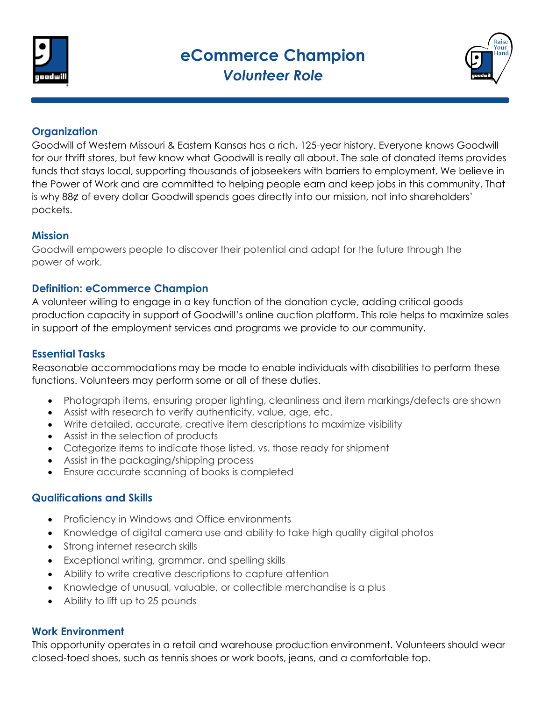



# **Organization**

Goodwill of Western Missouri & Eastern Kansas has a rich, 125-year history. Everyone knows Goodwill for our thrift stores, but few know what Goodwill is really all about. The sale of donated items provides funds that stays local, supporting thousands of jobseekers with barriers to employment. We believe in the Power of Work and are committed to helping people earn and keep jobs in this community. That is why 88¢ of every dollar Goodwill spends goes directly into our mission, not into shareholders' pockets.

### **Mission**

Goodwill empowers people to discover their potential and adapt for the future through the power of work.

### **Definition: eCommerce Champion**

A volunteer willing to engage in a key function of the donation cycle, adding critical goods production capacity in support of Goodwill's online auction platform. This role helps to maximize sales in support of the employment services and programs we provide to our community.

# **Essential Tasks**

Reasonable accommodations may be made to enable individuals with disabilities to perform these functions. Volunteers may perform some or all of these duties.

- Photograph items, ensuring proper lighting, cleanliness and item markings/defects are shown
- Assist with research to verify authenticity, value, age, etc.
- Write detailed, accurate, creative item descriptions to maximize visibility
- Assist in the selection of products
- Categorize items to indicate those listed, vs. those ready for shipment
- Assist in the packaging/shipping process
- Ensure accurate scanning of books is completed

# **Qualifications and Skills**

- Proficiency in Windows and Office environments
- Knowledge of digital camera use and ability to take high quality digital photos
- Strong internet research skills
- Exceptional writing, grammar, and spelling skills
- Ability to write creative descriptions to capture attention
- Knowledge of unusual, valuable, or collectible merchandise is a plus
- Ability to lift up to 25 pounds

### **Work Environment**

This opportunity operates in a retail and warehouse production environment. Volunteers should wear closed-toed shoes, such as tennis shoes or work boots, jeans, and a comfortable top.